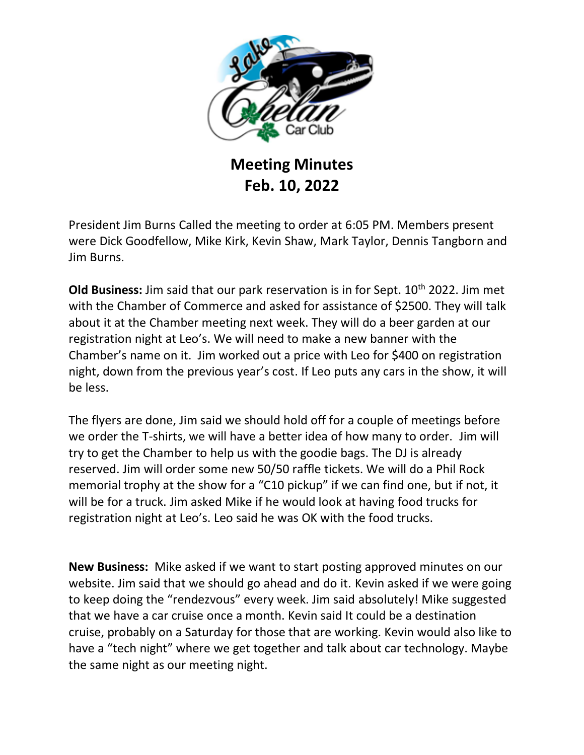

## **Meeting Minutes Feb. 10, 2022**

President Jim Burns Called the meeting to order at 6:05 PM. Members present were Dick Goodfellow, Mike Kirk, Kevin Shaw, Mark Taylor, Dennis Tangborn and Jim Burns.

**Old Business:** Jim said that our park reservation is in for Sept. 10<sup>th</sup> 2022. Jim met with the Chamber of Commerce and asked for assistance of \$2500. They will talk about it at the Chamber meeting next week. They will do a beer garden at our registration night at Leo's. We will need to make a new banner with the Chamber's name on it. Jim worked out a price with Leo for \$400 on registration night, down from the previous year's cost. If Leo puts any cars in the show, it will be less.

The flyers are done, Jim said we should hold off for a couple of meetings before we order the T-shirts, we will have a better idea of how many to order. Jim will try to get the Chamber to help us with the goodie bags. The DJ is already reserved. Jim will order some new 50/50 raffle tickets. We will do a Phil Rock memorial trophy at the show for a "C10 pickup" if we can find one, but if not, it will be for a truck. Jim asked Mike if he would look at having food trucks for registration night at Leo's. Leo said he was OK with the food trucks.

**New Business:** Mike asked if we want to start posting approved minutes on our website. Jim said that we should go ahead and do it. Kevin asked if we were going to keep doing the "rendezvous" every week. Jim said absolutely! Mike suggested that we have a car cruise once a month. Kevin said It could be a destination cruise, probably on a Saturday for those that are working. Kevin would also like to have a "tech night" where we get together and talk about car technology. Maybe the same night as our meeting night.